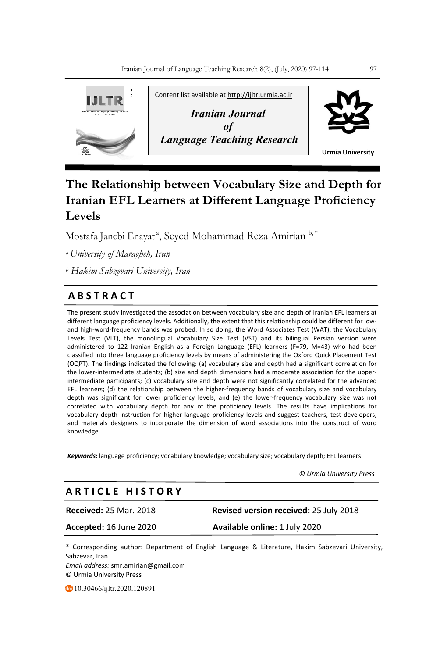

# **The Relationship between Vocabulary Size and Depth for Iranian EFL Learners at Different Language Proficiency Levels**

Mostafa Janebi Enayat <sup>a</sup>, Seyed Mohammad Reza Amirian <sup>b,\*</sup>

*<sup>a</sup> University of Maragheh, Iran*

*<sup>b</sup> Hakim Sabzevari University, Iran*

## **A B S T R A C T**

The present study investigated the association between vocabulary size and depth of Iranian EFL learners at different language proficiency levels. Additionally, the extent that this relationship could be different for lowand high-word-frequency bands was probed. In so doing, the Word Associates Test (WAT), the Vocabulary Levels Test (VLT), the monolingual Vocabulary Size Test (VST) and its bilingual Persian version were administered to 122 Iranian English as a Foreign Language (EFL) learners (F=79, M=43) who had been classified into three language proficiency levels by means of administering the Oxford Quick Placement Test (OQPT). The findings indicated the following: (a) vocabulary size and depth had a significant correlation for the lower-intermediate students; (b) size and depth dimensions had a moderate association for the upperintermediate participants; (c) vocabulary size and depth were not significantly correlated for the advanced EFL learners; (d) the relationship between the higher-frequency bands of vocabulary size and vocabulary **.** depth was significant for lower proficiency levels; and (e) the lower-frequency vocabulary size was not correlated with vocabulary depth for any of the proficiency levels. The results have implications for vocabulary depth instruction for higher language proficiency levels and suggest teachers, test developers, and materials designers to incorporate the dimension of word associations into the construct of word knowledge.

*Keywords:* language proficiency; vocabulary knowledge; vocabulary size; vocabulary depth; EFL learners

 *© Urmia University Press*

### **A R T I C L E H I S T O R Y**

**Received:** 25 Mar. 2018 **Revised version received:** 25 July 2018

**Accepted:** 16 June 2020 **Available online:** 1 July 2020

\* Corresponding author: Department of English Language & Literature, Hakim Sabzevari University, Sabzevar, Iran

*Email address:* smr.amirian@gmail.com © Urmia University Press

10.30466/ijltr.2020.120891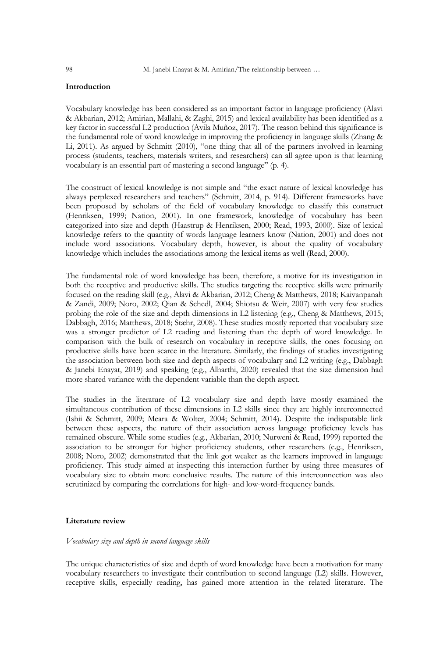#### **Introduction**

Vocabulary knowledge has been considered as an important factor in language proficiency (Alavi & Akbarian, 2012; Amirian, Mallahi, & Zaghi, 2015) and lexical availability has been identified as a key factor in successful L2 production (Avila Muñoz, 2017). The reason behind this significance is the fundamental role of word knowledge in improving the proficiency in language skills (Zhang & Li, 2011). As argued by Schmitt (2010), "one thing that all of the partners involved in learning process (students, teachers, materials writers, and researchers) can all agree upon is that learning vocabulary is an essential part of mastering a second language" (p. 4).

The construct of lexical knowledge is not simple and "the exact nature of lexical knowledge has always perplexed researchers and teachers" (Schmitt, 2014, p. 914). Different frameworks have been proposed by scholars of the field of vocabulary knowledge to classify this construct (Henriksen, 1999; Nation, 2001). In one framework, knowledge of vocabulary has been categorized into size and depth (Haastrup & Henriksen, 2000; Read, 1993, 2000). Size of lexical knowledge refers to the quantity of words language learners know (Nation, 2001) and does not include word associations. Vocabulary depth, however, is about the quality of vocabulary knowledge which includes the associations among the lexical items as well (Read, 2000).

The fundamental role of word knowledge has been, therefore, a motive for its investigation in both the receptive and productive skills. The studies targeting the receptive skills were primarily focused on the reading skill (e.g., Alavi & Akbarian, 2012; Cheng & Matthews, 2018; Kaivanpanah & Zandi, 2009; Noro, 2002; Qian & Schedl, 2004; Shiotsu & Weir, 2007) with very few studies probing the role of the size and depth dimensions in L2 listening (e.g., Cheng & Matthews, 2015; Dabbagh, 2016; Matthews, 2018; Stæhr, 2008). These studies mostly reported that vocabulary size was a stronger predictor of L2 reading and listening than the depth of word knowledge. In comparison with the bulk of research on vocabulary in receptive skills, the ones focusing on productive skills have been scarce in the literature. Similarly, the findings of studies investigating the association between both size and depth aspects of vocabulary and L2 writing (e.g., Dabbagh & Janebi Enayat, 2019) and speaking (e.g., Alharthi, 2020) revealed that the size dimension had more shared variance with the dependent variable than the depth aspect.

The studies in the literature of L2 vocabulary size and depth have mostly examined the simultaneous contribution of these dimensions in L2 skills since they are highly interconnected (Ishii & Schmitt, 2009; Meara & Wolter, 2004; Schmitt, 2014). Despite the indisputable link between these aspects, the nature of their association across language proficiency levels has remained obscure. While some studies (e.g., Akbarian, 2010; Nurweni & Read, 1999) reported the association to be stronger for higher proficiency students, other researchers (e.g., Henriksen, 2008; Noro, 2002) demonstrated that the link got weaker as the learners improved in language proficiency. This study aimed at inspecting this interaction further by using three measures of vocabulary size to obtain more conclusive results. The nature of this interconnection was also scrutinized by comparing the correlations for high- and low-word-frequency bands.

#### **Literature review**

#### *Vocabulary size and depth in second language skills*

The unique characteristics of size and depth of word knowledge have been a motivation for many vocabulary researchers to investigate their contribution to second language (L2) skills. However, receptive skills, especially reading, has gained more attention in the related literature. The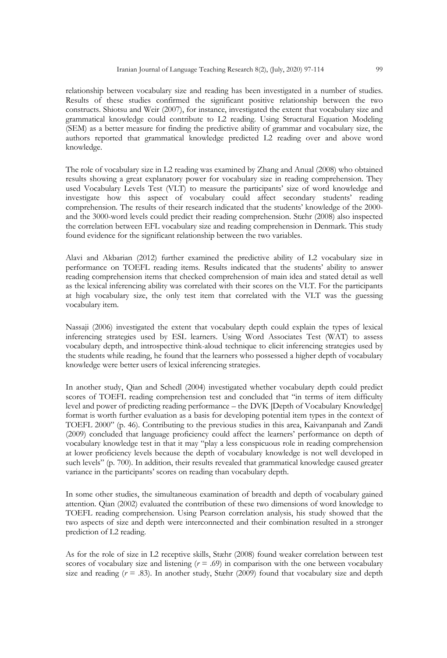relationship between vocabulary size and reading has been investigated in a number of studies. Results of these studies confirmed the significant positive relationship between the two constructs. Shiotsu and Weir (2007), for instance, investigated the extent that vocabulary size and grammatical knowledge could contribute to L2 reading. Using Structural Equation Modeling (SEM) as a better measure for finding the predictive ability of grammar and vocabulary size, the authors reported that grammatical knowledge predicted L2 reading over and above word knowledge.

The role of vocabulary size in L2 reading was examined by Zhang and Anual (2008) who obtained results showing a great explanatory power for vocabulary size in reading comprehension. They used Vocabulary Levels Test (VLT) to measure the participants' size of word knowledge and investigate how this aspect of vocabulary could affect secondary students' reading comprehension. The results of their research indicated that the students' knowledge of the 2000 and the 3000-word levels could predict their reading comprehension. Stæhr (2008) also inspected the correlation between EFL vocabulary size and reading comprehension in Denmark. This study found evidence for the significant relationship between the two variables.

Alavi and Akbarian (2012) further examined the predictive ability of L2 vocabulary size in performance on TOEFL reading items. Results indicated that the students' ability to answer reading comprehension items that checked comprehension of main idea and stated detail as well as the lexical inferencing ability was correlated with their scores on the VLT. For the participants at high vocabulary size, the only test item that correlated with the VLT was the guessing vocabulary item.

Nassaji (2006) investigated the extent that vocabulary depth could explain the types of lexical inferencing strategies used by ESL learners. Using Word Associates Test (WAT) to assess vocabulary depth, and introspective think-aloud technique to elicit inferencing strategies used by the students while reading, he found that the learners who possessed a higher depth of vocabulary knowledge were better users of lexical inferencing strategies.

In another study, Qian and Schedl (2004) investigated whether vocabulary depth could predict scores of TOEFL reading comprehension test and concluded that "in terms of item difficulty level and power of predicting reading performance – the DVK [Depth of Vocabulary Knowledge] format is worth further evaluation as a basis for developing potential item types in the context of TOEFL 2000" (p. 46). Contributing to the previous studies in this area, Kaivanpanah and Zandi (2009) concluded that language proficiency could affect the learners' performance on depth of vocabulary knowledge test in that it may "play a less conspicuous role in reading comprehension at lower proficiency levels because the depth of vocabulary knowledge is not well developed in such levels" (p. 700). In addition, their results revealed that grammatical knowledge caused greater variance in the participants' scores on reading than vocabulary depth.

In some other studies, the simultaneous examination of breadth and depth of vocabulary gained attention. Qian (2002) evaluated the contribution of these two dimensions of word knowledge to TOEFL reading comprehension. Using Pearson correlation analysis, his study showed that the two aspects of size and depth were interconnected and their combination resulted in a stronger prediction of L2 reading.

As for the role of size in L2 receptive skills, Stæhr (2008) found weaker correlation between test scores of vocabulary size and listening  $(r = .69)$  in comparison with the one between vocabulary size and reading  $(r = .83)$ . In another study, Stæhr (2009) found that vocabulary size and depth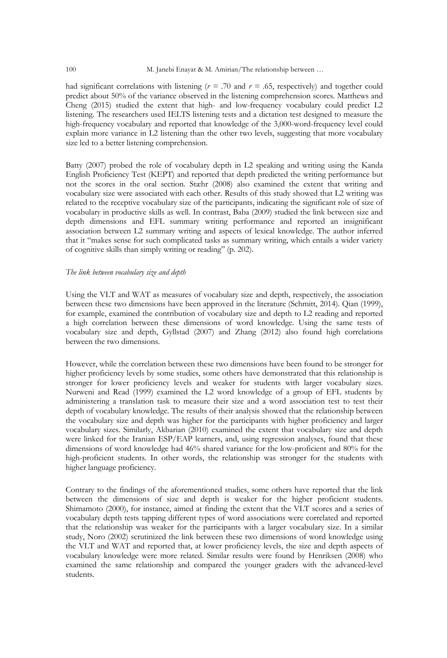had significant correlations with listening  $(r = .70$  and  $r = .65$ , respectively) and together could predict about 50% of the variance observed in the listening comprehension scores. Matthews and Cheng (2015) studied the extent that high- and low-frequency vocabulary could predict L2 listening. The researchers used IELTS listening tests and a dictation test designed to measure the high-frequency vocabulary and reported that knowledge of the 3,000-word-frequency level could explain more variance in L2 listening than the other two levels, suggesting that more vocabulary size led to a better listening comprehension.

Batty (2007) probed the role of vocabulary depth in L2 speaking and writing using the Kanda English Proficiency Test (KEPT) and reported that depth predicted the writing performance but not the scores in the oral section. Stæhr (2008) also examined the extent that writing and vocabulary size were associated with each other. Results of this study showed that L2 writing was related to the receptive vocabulary size of the participants, indicating the significant role of size of vocabulary in productive skills as well. In contrast, Baba (2009) studied the link between size and depth dimensions and EFL summary writing performance and reported an insignificant association between L2 summary writing and aspects of lexical knowledge. The author inferred that it "makes sense for such complicated tasks as summary writing, which entails a wider variety of cognitive skills than simply writing or reading" (p. 202).

#### *The link between vocabulary size and depth*

Using the VLT and WAT as measures of vocabulary size and depth, respectively, the association between these two dimensions have been approved in the literature (Schmitt, 2014). Qian (1999), for example, examined the contribution of vocabulary size and depth to L2 reading and reported a high correlation between these dimensions of word knowledge. Using the same tests of vocabulary size and depth, Gyllstad (2007) and Zhang (2012) also found high correlations between the two dimensions.

However, while the correlation between these two dimensions have been found to be stronger for higher proficiency levels by some studies, some others have demonstrated that this relationship is stronger for lower proficiency levels and weaker for students with larger vocabulary sizes. Nurweni and Read (1999) examined the L2 word knowledge of a group of EFL students by administering a translation task to measure their size and a word association test to test their depth of vocabulary knowledge. The results of their analysis showed that the relationship between the vocabulary size and depth was higher for the participants with higher proficiency and larger vocabulary sizes. Similarly, Akbarian (2010) examined the extent that vocabulary size and depth were linked for the Iranian ESP/EAP learners, and, using regression analyses, found that these dimensions of word knowledge had 46% shared variance for the low-proficient and 80% for the high-proficient students. In other words, the relationship was stronger for the students with higher language proficiency.

Contrary to the findings of the aforementioned studies, some others have reported that the link between the dimensions of size and depth is weaker for the higher proficient students. Shimamoto (2000), for instance, aimed at finding the extent that the VLT scores and a series of vocabulary depth tests tapping different types of word associations were correlated and reported that the relationship was weaker for the participants with a larger vocabulary size. In a similar study, Noro (2002) scrutinized the link between these two dimensions of word knowledge using the VLT and WAT and reported that, at lower proficiency levels, the size and depth aspects of vocabulary knowledge were more related. Similar results were found by Henriksen (2008) who examined the same relationship and compared the younger graders with the advanced-level students.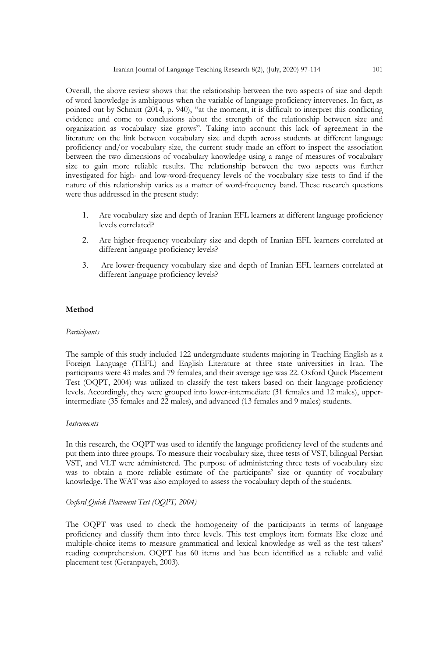Overall, the above review shows that the relationship between the two aspects of size and depth of word knowledge is ambiguous when the variable of language proficiency intervenes. In fact, as pointed out by Schmitt (2014, p. 940), "at the moment, it is difficult to interpret this conflicting evidence and come to conclusions about the strength of the relationship between size and organization as vocabulary size grows". Taking into account this lack of agreement in the literature on the link between vocabulary size and depth across students at different language proficiency and/or vocabulary size, the current study made an effort to inspect the association between the two dimensions of vocabulary knowledge using a range of measures of vocabulary size to gain more reliable results. The relationship between the two aspects was further investigated for high- and low-word-frequency levels of the vocabulary size tests to find if the nature of this relationship varies as a matter of word-frequency band. These research questions were thus addressed in the present study:

- 1. Are vocabulary size and depth of Iranian EFL learners at different language proficiency levels correlated?
- 2. Are higher-frequency vocabulary size and depth of Iranian EFL learners correlated at different language proficiency levels?
- 3. Are lower-frequency vocabulary size and depth of Iranian EFL learners correlated at different language proficiency levels?

#### **Method**

#### *Participants*

The sample of this study included 122 undergraduate students majoring in Teaching English as a Foreign Language (TEFL) and English Literature at three state universities in Iran. The participants were 43 males and 79 females, and their average age was 22. Oxford Quick Placement Test (OQPT, 2004) was utilized to classify the test takers based on their language proficiency levels. Accordingly, they were grouped into lower-intermediate (31 females and 12 males), upperintermediate (35 females and 22 males), and advanced (13 females and 9 males) students.

#### *Instruments*

In this research, the OQPT was used to identify the language proficiency level of the students and put them into three groups. To measure their vocabulary size, three tests of VST, bilingual Persian VST, and VLT were administered. The purpose of administering three tests of vocabulary size was to obtain a more reliable estimate of the participants' size or quantity of vocabulary knowledge. The WAT was also employed to assess the vocabulary depth of the students.

#### *Oxford Quick Placement Test (OQPT, 2004)*

The OQPT was used to check the homogeneity of the participants in terms of language proficiency and classify them into three levels. This test employs item formats like cloze and multiple-choice items to measure grammatical and lexical knowledge as well as the test takers' reading comprehension. OQPT has 60 items and has been identified as a reliable and valid placement test (Geranpayeh, 2003).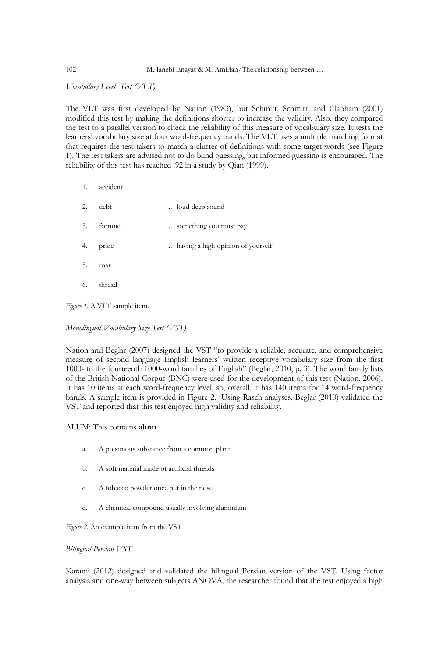#### 102 M. Janebi Enayat & M. Amirian/The relationship between …

*Vocabulary Levels Test (VLT)*

The VLT was first developed by Nation (1983), but Schmitt, Schmitt, and Clapham (2001) modified this test by making the definitions shorter to increase the validity. Also, they compared the test to a parallel version to check the reliability of this measure of vocabulary size. It tests the learners' vocabulary size at four word-frequency bands. The VLT uses a multiple matching format that requires the test takers to match a cluster of definitions with some target words (see Figure 1). The test takers are advised not to do blind guessing, but informed guessing is encouraged. The reliability of this test has reached .92 in a study by Qian (1999).

- 1. accident
- 2. debt …. loud deep sound 3. fortune …. something you must pay 4. pride .... having a high opinion of yourself 5. roar 6. thread

*Figure 1.* A VLT sample item.

*Monolingual Vocabulary Size Test (VST)*

Nation and Beglar (2007) designed the VST "to provide a reliable, accurate, and comprehensive measure of second language English learners' written receptive vocabulary size from the first 1000- to the fourteenth 1000-word families of English" (Beglar, 2010, p. 3). The word family lists of the British National Corpus (BNC) were used for the development of this test (Nation, 2006). It has 10 items at each word-frequency level, so, overall, it has 140 items for 14 word-frequency bands. A sample item is provided in Figure 2. Using Rasch analyses, Beglar (2010) validated the VST and reported that this test enjoyed high validity and reliability.

ALUM: This contains **alum**.

- a. A poisonous substance from a common plant
- b. A soft material made of artificial threads
- c. A tobacco powder once put in the nose
- d. A chemical compound usually involving aluminium

*Figure 2.* An example item from the VST.

#### *Bilingual Persian VST*

Karami (2012) designed and validated the bilingual Persian version of the VST. Using factor analysis and one-way between subjects ANOVA, the researcher found that the test enjoyed a high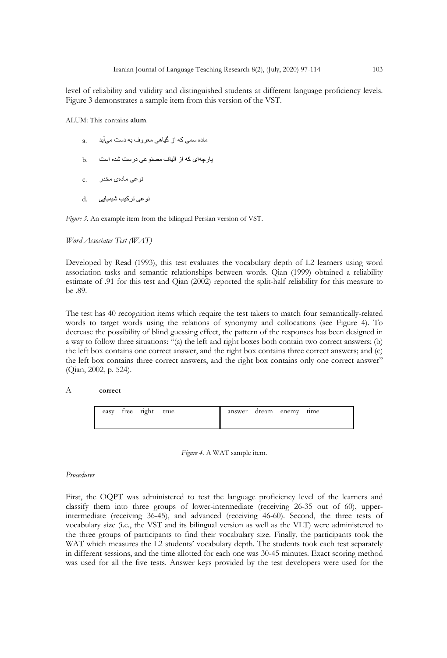level of reliability and validity and distinguished students at different language proficiency levels. Figure 3 demonstrates a sample item from this version of the VST.

ALUM: This contains **alum**.

- a. ماده سمی که از گیاهی معروف به دست میآید
- ھچراپ تسا هدش تسرد یعونصم فایلا زا ھک یا .b
- دو على مادهى مخدر .c
- نو عی ترکیب شیمیایی d.

*Figure 3.* An example item from the bilingual Persian version of VST.

#### *Word Associates Test (WAT)*

Developed by Read (1993), this test evaluates the vocabulary depth of L2 learners using word association tasks and semantic relationships between words. Qian (1999) obtained a reliability estimate of .91 for this test and Qian (2002) reported the split-half reliability for this measure to be .89.

The test has 40 recognition items which require the test takers to match four semantically-related words to target words using the relations of synonymy and collocations (see Figure 4). To decrease the possibility of blind guessing effect, the pattern of the responses has been designed in a way to follow three situations: "(a) the left and right boxes both contain two correct answers; (b) the left box contains one correct answer, and the right box contains three correct answers; and (c) the left box contains three correct answers, and the right box contains only one correct answer" (Qian, 2002, p. 524).

#### A **correct**

|  | easy free right true | answer dream enemy time |  |  |
|--|----------------------|-------------------------|--|--|
|  |                      |                         |  |  |

*Figure 4.* A WAT sample item.

#### *Procedures*

First, the OQPT was administered to test the language proficiency level of the learners and classify them into three groups of lower-intermediate (receiving 26-35 out of 60), upperintermediate (receiving 36-45), and advanced (receiving 46-60). Second, the three tests of vocabulary size (i.e., the VST and its bilingual version as well as the VLT) were administered to the three groups of participants to find their vocabulary size. Finally, the participants took the WAT which measures the L2 students' vocabulary depth. The students took each test separately in different sessions, and the time allotted for each one was 30-45 minutes. Exact scoring method was used for all the five tests. Answer keys provided by the test developers were used for the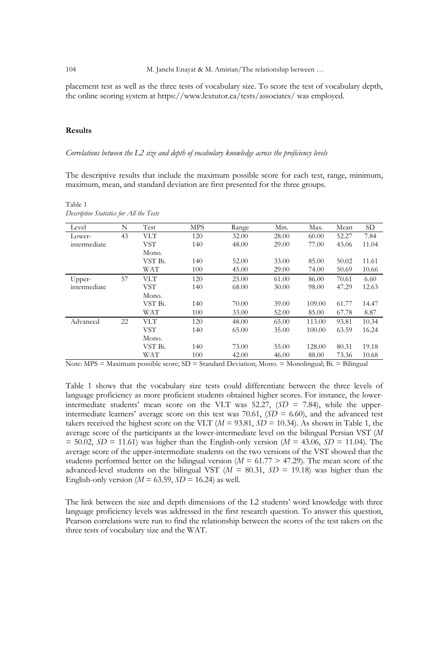placement test as well as the three tests of vocabulary size. To score the test of vocabulary depth, the online scoring system at https://www.lextutor.ca/tests/associates/ was employed.

#### **Results**

Table 1

*Descriptive Statistics for All the Tests*

*Correlations between the L2 size and depth of vocabulary knowledge across the proficiency levels* 

The descriptive results that include the maximum possible score for each test, range, minimum, maximum, mean, and standard deviation are first presented for the three groups.

Level N Test MPS Range Min. Max. Mean SD Lowerintermediate 43 VLT 120 32.00 28.00 60.00 52.27 7.84 VST Mono.<br>VST Bi. 140 48.00 29.00 77.00 43.06 11.04 VST Bi. 140 52.00 33.00 85.00 50.02 11.61 WAT 100 45.00 29.00 74.00 50.69 10.66 Upperintermediate 57 VLT 120 25.00 61.00 86.00 70.61 6.60 VST Mono. 140 68.00 30.00 98.00 47.29 12.63 VST Bi. 140 70.00 39.00 109.00 61.77 14.47 WAT 100 33.00 52.00 85.00 67.78 8.87 Advanced 22 VLT 120 48.00 65.00 113.00 93.81 10.34 VST Mono.<br>VST Bi. 140 65.00 35.00 100.00 63.59 16.24 VST Bi. 140 73.00 55.00 128.00 80.31 19.18 WAT 100 42.00 46.00 88.00 73.36 10.68

Note: MPS = Maximum possible score; SD = Standard Deviation; Mono. = Monolingual; Bi. = Bilingual

Table 1 shows that the vocabulary size tests could differentiate between the three levels of language proficiency as more proficient students obtained higher scores. For instance, the lowerintermediate students' mean score on the VLT was 52.27, (*SD* = 7.84), while the upperintermediate learners' average score on this test was 70.61,  $(SD = 6.60)$ , and the advanced test takers received the highest score on the VLT ( $M = 93.81$ ,  $SD = 10.34$ ). As shown in Table 1, the average score of the participants at the lower-intermediate level on the bilingual Persian VST (*M*  $= 50.02, SD = 11.61$  was higher than the English-only version ( $M = 43.06, SD = 11.04$ ). The average score of the upper-intermediate students on the two versions of the VST showed that the students performed better on the bilingual version ( $M = 61.77 > 47.29$ ). The mean score of the advanced-level students on the bilingual VST (*M* = 80.31, *SD* = 19.18) was higher than the English-only version ( $M = 63.59$ ,  $SD = 16.24$ ) as well.

The link between the size and depth dimensions of the L2 students' word knowledge with three language proficiency levels was addressed in the first research question. To answer this question, Pearson correlations were run to find the relationship between the scores of the test takers on the three tests of vocabulary size and the WAT.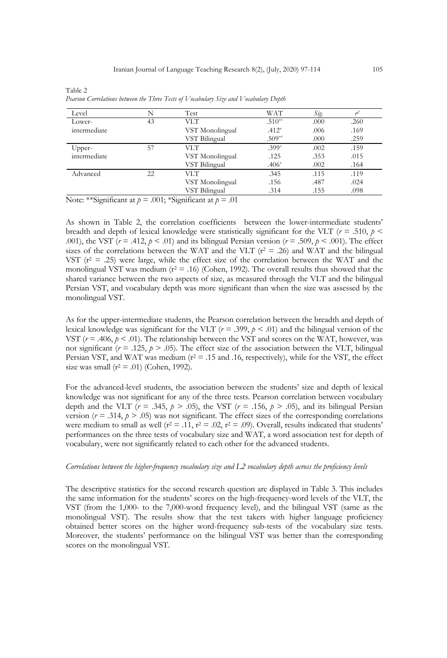| Level        | N  | Test            | WAT      | Sig. |      |
|--------------|----|-----------------|----------|------|------|
| Lower-       | 43 | VLT             | $.510**$ | .000 | .260 |
| intermediate |    | VST Monolingual | $.412*$  | .006 | .169 |
|              |    | VST Bilingual   | $.509**$ | .000 | .259 |
| Upper-       | 57 | VLT.            | $.399*$  | .002 | .159 |
| intermediate |    | VST Monolingual | .125     | .353 | .015 |
|              |    | VST Bilingual   | $.406*$  | .002 | .164 |
| Advanced     | 22 | VLT.            | .345     | .115 | .119 |
|              |    | VST Monolingual | .156     | .487 | .024 |
|              |    | VST Bilingual   | .314     | .155 | .098 |

Table 2 *Pearson Correlations between the Three Tests of Vocabulary Size and Vocabulary Depth*

Note: \*\*Significant at *p* = .001; \*Significant at *p* = .01

As shown in Table 2, the correlation coefficients between the lower-intermediate students' breadth and depth of lexical knowledge were statistically significant for the VLT ( $r = .510$ ,  $p <$ .001), the VST ( $r = .412$ ,  $p < .01$ ) and its bilingual Persian version ( $r = .509$ ,  $p < .001$ ). The effect sizes of the correlations between the WAT and the VLT ( $r^2$  = .26) and WAT and the bilingual VST ( $r^2$  = .25) were large, while the effect size of the correlation between the WAT and the monolingual VST was medium ( $r^2 = .16$ ) (Cohen, 1992). The overall results thus showed that the shared variance between the two aspects of size, as measured through the VLT and the bilingual Persian VST, and vocabulary depth was more significant than when the size was assessed by the monolingual VST.

As for the upper-intermediate students, the Pearson correlation between the breadth and depth of lexical knowledge was significant for the VLT ( $r = .399$ ,  $p < .01$ ) and the bilingual version of the VST  $(r = .406, p < .01)$ . The relationship between the VST and scores on the WAT, however, was not significant ( $r = .125$ ,  $p > .05$ ). The effect size of the association between the VLT, bilingual Persian VST, and WAT was medium  $(r^2 = .15$  and .16, respectively), while for the VST, the effect size was small ( $r^2$  = .01) (Cohen, 1992).

For the advanced-level students, the association between the students' size and depth of lexical knowledge was not significant for any of the three tests. Pearson correlation between vocabulary depth and the VLT ( $r = .345$ ,  $p > .05$ ), the VST ( $r = .156$ ,  $p > .05$ ), and its bilingual Persian version ( $r = .314$ ,  $p > .05$ ) was not significant. The effect sizes of the corresponding correlations were medium to small as well ( $r^2 = .11$ ,  $r^2 = .02$ ,  $r^2 = .09$ ). Overall, results indicated that students' performances on the three tests of vocabulary size and WAT, a word association test for depth of vocabulary, were not significantly related to each other for the advanced students.

#### *Correlations between the higher-frequency vocabulary size and L2 vocabulary depth across the proficiency levels*

The descriptive statistics for the second research question are displayed in Table 3. This includes the same information for the students' scores on the high-frequency-word levels of the VLT, the VST (from the 1,000- to the 7,000-word frequency level), and the bilingual VST (same as the monolingual VST). The results show that the test takers with higher language proficiency obtained better scores on the higher word-frequency sub-tests of the vocabulary size tests. Moreover, the students' performance on the bilingual VST was better than the corresponding scores on the monolingual VST.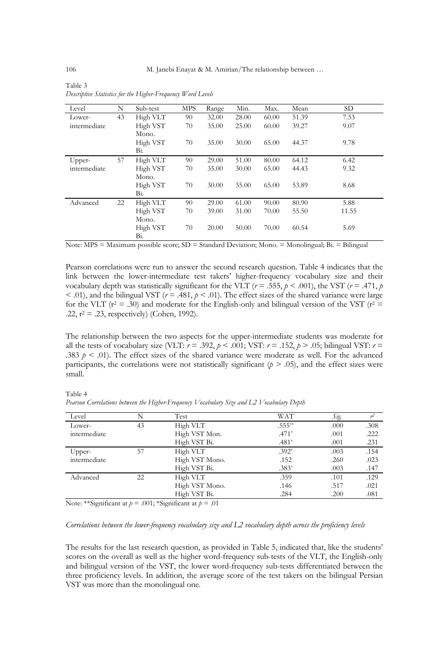| Level        | N  | Sub-test | MPS | Range | Min.  | Max.  | Mean  | SD.   |
|--------------|----|----------|-----|-------|-------|-------|-------|-------|
| Lower-       | 43 | High VLT | 90  | 32.00 | 28.00 | 60.00 | 51.39 | 7.53  |
| intermediate |    | High VST | 70  | 35.00 | 25.00 | 60.00 | 39.27 | 9.07  |
|              |    | Mono.    |     |       |       |       |       |       |
|              |    | High VST | 70  | 35.00 | 30.00 | 65.00 | 44.37 | 9.78  |
|              |    | Bi.      |     |       |       |       |       |       |
| Upper-       | 57 | High VLT | 90  | 29.00 | 51.00 | 80.00 | 64.12 | 6.42  |
| intermediate |    | High VST | 70  | 35.00 | 30.00 | 65.00 | 44.43 | 9.32  |
|              |    | Mono.    |     |       |       |       |       |       |
|              |    | High VST | 70  | 30.00 | 35.00 | 65.00 | 53.89 | 8.68  |
|              |    | Bi.      |     |       |       |       |       |       |
| Advanced     | 22 | High VLT | 90  | 29.00 | 61.00 | 90.00 | 80.90 | 5.88  |
|              |    | High VST | 70  | 39.00 | 31.00 | 70.00 | 55.50 | 11.55 |
|              |    | Mono.    |     |       |       |       |       |       |
|              |    | High VST | 70  | 20.00 | 50.00 | 70.00 | 60.54 | 5.69  |
|              |    | Bi.      |     |       |       |       |       |       |

Table 3 *Descriptive Statistics for the Higher-Frequency Word Levels*

Note: MPS = Maximum possible score; SD = Standard Deviation; Mono. = Monolingual; Bi. = Bilingual

Pearson correlations were run to answer the second research question. Table 4 indicates that the link between the lower-intermediate test takers' higher-frequency vocabulary size and their vocabulary depth was statistically significant for the VLT ( $r = .555$ ,  $p < .001$ ), the VST ( $r = .471$ ,  $p$  $< .01$ ), and the bilingual VST ( $r = .481$ ,  $p < .01$ ). The effect sizes of the shared variance were large for the VLT ( $r^2$  = .30) and moderate for the English-only and bilingual version of the VST ( $r^2$  = .22,  $r^2 = .23$ , respectively) (Cohen, 1992).

The relationship between the two aspects for the upper-intermediate students was moderate for all the tests of vocabulary size (VLT:  $r = .392$ ,  $p < .001$ ; VST:  $r = .152$ ,  $p > .05$ ; bilingual VST:  $r =$ .383  $p \lt 0.01$ . The effect sizes of the shared variance were moderate as well. For the advanced participants, the correlations were not statistically significant  $(p > .05)$ , and the effect sizes were small.

| Level        |    | Test           | WAT       | Sig. |      |
|--------------|----|----------------|-----------|------|------|
| Lower-       | 43 | High VLT       | $.555***$ | .000 | .308 |
| intermediate |    | High VST Mon.  | $.471*$   | .001 | .222 |
|              |    | High VST Bi.   | $.481*$   | .001 | .231 |
| Upper-       | 57 | High VLT       | $.392*$   | .003 | .154 |
| intermediate |    | High VST Mono. | .152      | .260 | .023 |
|              |    | High VST Bi.   | $.383*$   | .003 | .147 |
| Advanced     | 22 | High VLT       | .359      | .101 | .129 |
|              |    | High VST Mono. | .146      | .517 | .021 |
|              |    | High VST Bi.   | .284      | .200 | .081 |

Table 4 *Pearson Correlations between the Higher-Frequency Vocabulary Size and L2 Vocabulary Depth*

Note: \*\*Significant at *p* = .001; \*Significant at *p* = .01

#### *Correlations between the lower-frequency vocabulary size and L2 vocabulary depth across the proficiency levels*

The results for the last research question, as provided in Table 5, indicated that, like the students' scores on the overall as well as the higher word-frequency sub-tests of the VLT, the English-only and bilingual version of the VST, the lower word-frequency sub-tests differentiated between the three proficiency levels. In addition, the average score of the test takers on the bilingual Persian VST was more than the monolingual one.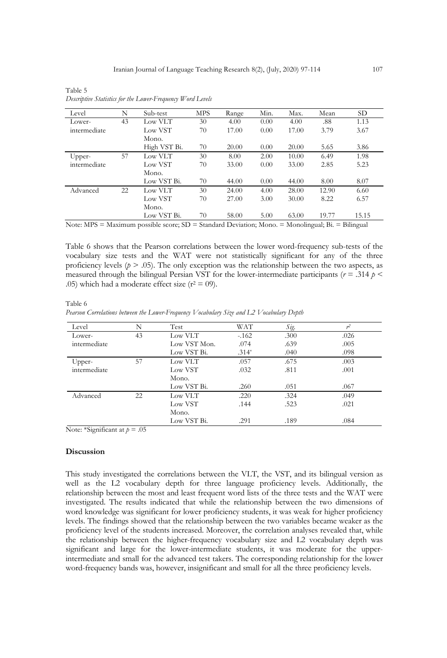| Level        | N  | Sub-test     | <b>MPS</b> | Range | Min. | Max.  | Mean  | SD <sub>1</sub> |
|--------------|----|--------------|------------|-------|------|-------|-------|-----------------|
| Lower-       | 43 | Low VLT      | 30         | 4.00  | 0.00 | 4.00  | .88   | 1.13            |
| intermediate |    | Low VST      | 70         | 17.00 | 0.00 | 17.00 | 3.79  | 3.67            |
|              |    | Mono.        |            |       |      |       |       |                 |
|              |    | High VST Bi. | 70         | 20.00 | 0.00 | 20.00 | 5.65  | 3.86            |
| Upper-       | 57 | Low VLT      | 30         | 8.00  | 2.00 | 10.00 | 6.49  | 1.98            |
| intermediate |    | Low VST      | 70         | 33.00 | 0.00 | 33.00 | 2.85  | 5.23            |
|              |    | Mono.        |            |       |      |       |       |                 |
|              |    | Low VST Bi.  | 70         | 44.00 | 0.00 | 44.00 | 8.00  | 8.07            |
| Advanced     | 22 | Low VLT      | 30         | 24.00 | 4.00 | 28.00 | 12.90 | 6.60            |
|              |    | Low VST      | 70         | 27.00 | 3.00 | 30.00 | 8.22  | 6.57            |
|              |    | Mono.        |            |       |      |       |       |                 |
|              |    | Low VST Bi.  | 70         | 58.00 | 5.00 | 63.00 | 19.77 | 15.15           |

Table 5 *Descriptive Statistics for the Lower-Frequency Word Levels*

Note: MPS = Maximum possible score; SD = Standard Deviation; Mono. = Monolingual; Bi. = Bilingual

Table 6 shows that the Pearson correlations between the lower word-frequency sub-tests of the vocabulary size tests and the WAT were not statistically significant for any of the three proficiency levels ( $p > .05$ ). The only exception was the relationship between the two aspects, as measured through the bilingual Persian VST for the lower-intermediate participants ( $r = .314$   $p <$ .05) which had a moderate effect size ( $r^2$  = 09).

Table 6 *Pearson Correlations between the Lower-Frequency Vocabulary Size and L2 Vocabulary Depth*

| Level        | N  | Test         | WAT     | Sig. | r <sup>2</sup> |
|--------------|----|--------------|---------|------|----------------|
| Lower-       | 43 | Low VLT      | $-162$  | .300 | .026           |
| intermediate |    | Low VST Mon. | .074    | .639 | .005           |
|              |    | Low VST Bi.  | $.314*$ | .040 | .098           |
| Upper-       | 57 | Low VLT      | .057    | .675 | .003           |
| intermediate |    | Low VST      | .032    | .811 | .001           |
|              |    | Mono.        |         |      |                |
|              |    | Low VST Bi.  | .260    | .051 | .067           |
| Advanced     | 22 | Low VLT      | .220    | .324 | .049           |
|              |    | Low VST      | .144    | .523 | .021           |
|              |    | Mono.        |         |      |                |
|              |    | Low VST Bi.  | .291    | .189 | .084           |
|              |    |              |         |      |                |

Note: \*Significant at  $p = .05$ 

#### **Discussion**

This study investigated the correlations between the VLT, the VST, and its bilingual version as well as the L2 vocabulary depth for three language proficiency levels. Additionally, the relationship between the most and least frequent word lists of the three tests and the WAT were investigated. The results indicated that while the relationship between the two dimensions of word knowledge was significant for lower proficiency students, it was weak for higher proficiency levels. The findings showed that the relationship between the two variables became weaker as the proficiency level of the students increased. Moreover, the correlation analyses revealed that, while the relationship between the higher-frequency vocabulary size and L2 vocabulary depth was significant and large for the lower-intermediate students, it was moderate for the upperintermediate and small for the advanced test takers. The corresponding relationship for the lower word-frequency bands was, however, insignificant and small for all the three proficiency levels.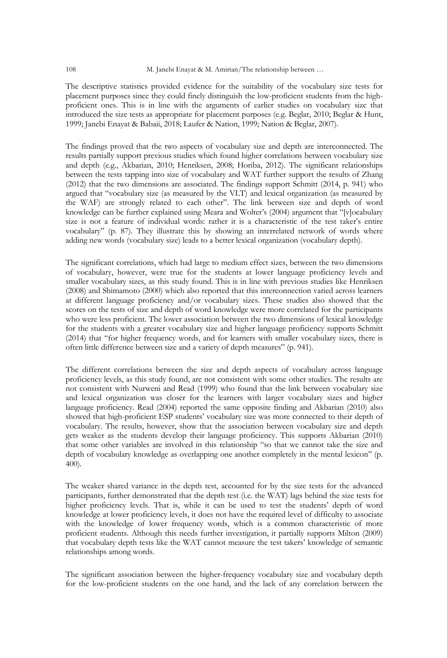108 M. Janebi Enayat & M. Amirian/The relationship between ...

The descriptive statistics provided evidence for the suitability of the vocabulary size tests for placement purposes since they could finely distinguish the low-proficient students from the highproficient ones. This is in line with the arguments of earlier studies on vocabulary size that introduced the size tests as appropriate for placement purposes (e.g. Beglar, 2010; Beglar & Hunt, 1999; Janebi Enayat & Babaii, 2018; Laufer & Nation, 1999; Nation & Beglar, 2007).

The findings proved that the two aspects of vocabulary size and depth are interconnected. The results partially support previous studies which found higher correlations between vocabulary size and depth (e.g., Akbarian, 2010; Henriksen, 2008; Horiba, 2012). The significant relationships between the tests tapping into size of vocabulary and WAT further support the results of Zhang (2012) that the two dimensions are associated. The findings support Schmitt (2014, p. 941) who argued that "vocabulary size (as measured by the VLT) and lexical organization (as measured by the WAF) are strongly related to each other". The link between size and depth of word knowledge can be further explained using Meara and Wolter's (2004) argument that "[v]ocabulary size is not a feature of individual words: rather it is a characteristic of the test taker's entire vocabulary" (p. 87). They illustrate this by showing an interrelated network of words where adding new words (vocabulary size) leads to a better lexical organization (vocabulary depth).

The significant correlations, which had large to medium effect sizes, between the two dimensions of vocabulary, however, were true for the students at lower language proficiency levels and smaller vocabulary sizes, as this study found. This is in line with previous studies like Henriksen (2008) and Shimamoto (2000) which also reported that this interconnection varied across learners at different language proficiency and/or vocabulary sizes. These studies also showed that the scores on the tests of size and depth of word knowledge were more correlated for the participants who were less proficient. The lower association between the two dimensions of lexical knowledge for the students with a greater vocabulary size and higher language proficiency supports Schmitt (2014) that "for higher frequency words, and for learners with smaller vocabulary sizes, there is often little difference between size and a variety of depth measures" (p. 941).

The different correlations between the size and depth aspects of vocabulary across language proficiency levels, as this study found, are not consistent with some other studies. The results are not consistent with Nurweni and Read (1999) who found that the link between vocabulary size and lexical organization was closer for the learners with larger vocabulary sizes and higher language proficiency. Read (2004) reported the same opposite finding and Akbarian (2010) also showed that high-proficient ESP students' vocabulary size was more connected to their depth of vocabulary. The results, however, show that the association between vocabulary size and depth gets weaker as the students develop their language proficiency. This supports Akbarian (2010) that some other variables are involved in this relationship "so that we cannot take the size and depth of vocabulary knowledge as overlapping one another completely in the mental lexicon" (p. 400).

The weaker shared variance in the depth test, accounted for by the size tests for the advanced participants, further demonstrated that the depth test (i.e. the WAT) lags behind the size tests for higher proficiency levels. That is, while it can be used to test the students' depth of word knowledge at lower proficiency levels, it does not have the required level of difficulty to associate with the knowledge of lower frequency words, which is a common characteristic of more proficient students. Although this needs further investigation, it partially supports Milton (2009) that vocabulary depth tests like the WAT cannot measure the test takers' knowledge of semantic relationships among words.

The significant association between the higher-frequency vocabulary size and vocabulary depth for the low-proficient students on the one hand, and the lack of any correlation between the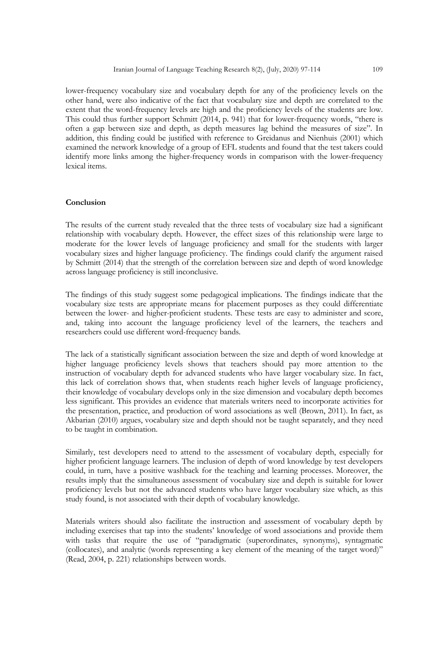lower-frequency vocabulary size and vocabulary depth for any of the proficiency levels on the other hand, were also indicative of the fact that vocabulary size and depth are correlated to the extent that the word-frequency levels are high and the proficiency levels of the students are low. This could thus further support Schmitt (2014, p. 941) that for lower-frequency words, "there is often a gap between size and depth, as depth measures lag behind the measures of size". In addition, this finding could be justified with reference to Greidanus and Nienhuis (2001) which examined the network knowledge of a group of EFL students and found that the test takers could identify more links among the higher-frequency words in comparison with the lower-frequency lexical items.

#### **Conclusion**

The results of the current study revealed that the three tests of vocabulary size had a significant relationship with vocabulary depth. However, the effect sizes of this relationship were large to moderate for the lower levels of language proficiency and small for the students with larger vocabulary sizes and higher language proficiency. The findings could clarify the argument raised by Schmitt (2014) that the strength of the correlation between size and depth of word knowledge across language proficiency is still inconclusive.

The findings of this study suggest some pedagogical implications. The findings indicate that the vocabulary size tests are appropriate means for placement purposes as they could differentiate between the lower- and higher-proficient students. These tests are easy to administer and score, and, taking into account the language proficiency level of the learners, the teachers and researchers could use different word-frequency bands.

The lack of a statistically significant association between the size and depth of word knowledge at higher language proficiency levels shows that teachers should pay more attention to the instruction of vocabulary depth for advanced students who have larger vocabulary size. In fact, this lack of correlation shows that, when students reach higher levels of language proficiency, their knowledge of vocabulary develops only in the size dimension and vocabulary depth becomes less significant. This provides an evidence that materials writers need to incorporate activities for the presentation, practice, and production of word associations as well (Brown, 2011). In fact, as Akbarian (2010) argues, vocabulary size and depth should not be taught separately, and they need to be taught in combination.

Similarly, test developers need to attend to the assessment of vocabulary depth, especially for higher proficient language learners. The inclusion of depth of word knowledge by test developers could, in turn, have a positive washback for the teaching and learning processes. Moreover, the results imply that the simultaneous assessment of vocabulary size and depth is suitable for lower proficiency levels but not the advanced students who have larger vocabulary size which, as this study found, is not associated with their depth of vocabulary knowledge.

Materials writers should also facilitate the instruction and assessment of vocabulary depth by including exercises that tap into the students' knowledge of word associations and provide them with tasks that require the use of "paradigmatic (superordinates, synonyms), syntagmatic (collocates), and analytic (words representing a key element of the meaning of the target word)" (Read, 2004, p. 221) relationships between words.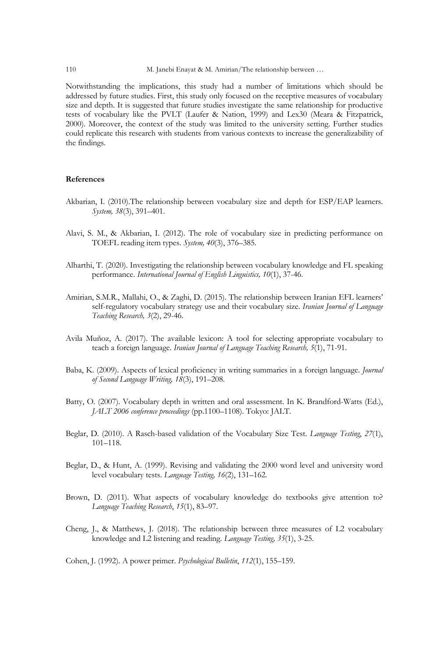110 M. Janebi Enayat & M. Amirian/The relationship between …

Notwithstanding the implications, this study had a number of limitations which should be addressed by future studies. First, this study only focused on the receptive measures of vocabulary size and depth. It is suggested that future studies investigate the same relationship for productive tests of vocabulary like the PVLT (Laufer & Nation, 1999) and Lex30 (Meara & Fitzpatrick, 2000). Moreover, the context of the study was limited to the university setting. Further studies could replicate this research with students from various contexts to increase the generalizability of the findings.

#### **References**

- Akbarian, I. (2010).The relationship between vocabulary size and depth for ESP/EAP learners. *System, 38*(3), 391–401.
- Alavi, S. M., & Akbarian, I. (2012). The role of vocabulary size in predicting performance on TOEFL reading item types. *System, 40*(3), 376–385.
- Alharthi, T. (2020). Investigating the relationship between vocabulary knowledge and FL speaking performance. *International Journal of English Linguistics, 10*(1), 37-46.
- Amirian, S.M.R., Mallahi, O., & Zaghi, D. (2015). The relationship between Iranian EFL learners' self-regulatory vocabulary strategy use and their vocabulary size. *Iranian Journal of Language Teaching Research, 3*(2), 29-46.
- Avila Muñoz, A. (2017). The available lexicon: A tool for selecting appropriate vocabulary to teach a foreign language. *Iranian Journal of Language Teaching Research, 5*(1), 71-91.
- Baba, K. (2009). Aspects of lexical proficiency in writing summaries in a foreign language. *Journal of Second Language Writing, 18*(3), 191–208.
- Batty, O. (2007). Vocabulary depth in written and oral assessment. In K. Brandford-Watts (Ed.), *JALT 2006 conference proceedings* (pp.1100–1108). Tokyo: JALT.
- Beglar, D. (2010). A Rasch-based validation of the Vocabulary Size Test. *Language Testing*, *27*(1), 101–118.
- Beglar, D., & Hunt, A. (1999). Revising and validating the 2000 word level and university word level vocabulary tests. *Language Testing, 16*(2), 131–162.
- Brown, D. (2011). What aspects of vocabulary knowledge do textbooks give attention to? *Language Teaching Research*, *15*(1), 83–97.
- Cheng, J., & Matthews, J. (2018). The relationship between three measures of L2 vocabulary knowledge and L2 listening and reading. *Language Testing, 35*(1), 3-25.

Cohen, J. (1992). A power primer. *Psychological Bulletin*, *112*(1), 155–159.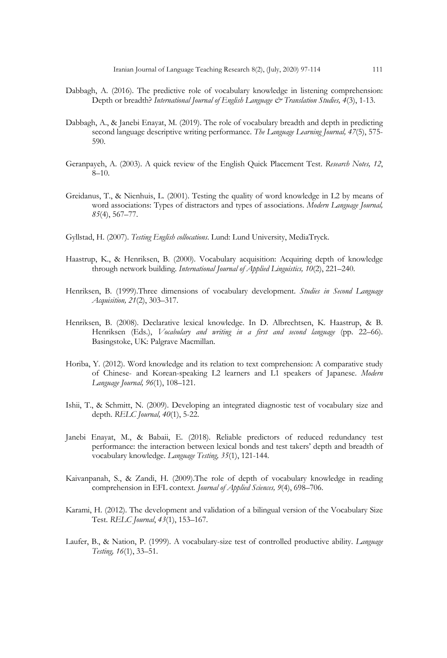- Dabbagh, A. (2016). The predictive role of vocabulary knowledge in listening comprehension: Depth or breadth? *International Journal of English Language & Translation Studies, 4*(3), 1-13.
- Dabbagh, A., & Janebi Enayat, M. (2019). The role of vocabulary breadth and depth in predicting second language descriptive writing performance. *The Language Learning Journal, 47*(5), 575- 590.
- Geranpayeh, A. (2003). A quick review of the English Quick Placement Test. *Research Notes, 12*,  $8-10.$
- Greidanus, T., & Nienhuis, L. (2001). Testing the quality of word knowledge in L2 by means of word associations: Types of distractors and types of associations. *Modern Language Journal, 85*(4), 567–77.
- Gyllstad, H. (2007). *Testing English collocations*. Lund: Lund University, MediaTryck.
- Haastrup, K., & Henriksen, B. (2000). Vocabulary acquisition: Acquiring depth of knowledge through network building. *International Journal of Applied Linguistics, 10*(2), 221–240.
- Henriksen, B. (1999).Three dimensions of vocabulary development. *Studies in Second Language Acquisition, 21*(2), 303–317.
- Henriksen, B. (2008). Declarative lexical knowledge. In D. Albrechtsen, K. Haastrup, & B. Henriksen (Eds.), *Vocabulary and writing in a first and second language* (pp. 22–66). Basingstoke, UK: Palgrave Macmillan.
- Horiba, Y. (2012). Word knowledge and its relation to text comprehension: A comparative study of Chinese- and Korean-speaking L2 learners and L1 speakers of Japanese. *Modern Language Journal, 96*(1), 108–121.
- Ishii, T., & Schmitt, N. (2009). Developing an integrated diagnostic test of vocabulary size and depth. *RELC Journal, 40*(1), 5-22.
- Janebi Enayat, M., & Babaii, E. (2018). Reliable predictors of reduced redundancy test performance: the interaction between lexical bonds and test takers' depth and breadth of vocabulary knowledge. *Language Testing, 35*(1), 121-144.
- Kaivanpanah, S., & Zandi, H. (2009).The role of depth of vocabulary knowledge in reading comprehension in EFL context*. Journal of Applied Sciences, 9*(4), 698–706.
- Karami, H. (2012). The development and validation of a bilingual version of the Vocabulary Size Test. *RELC Journal*, *43*(1), 153–167.
- Laufer, B., & Nation, P. (1999). A vocabulary-size test of controlled productive ability. *Language Testing, 16*(1), 33–51.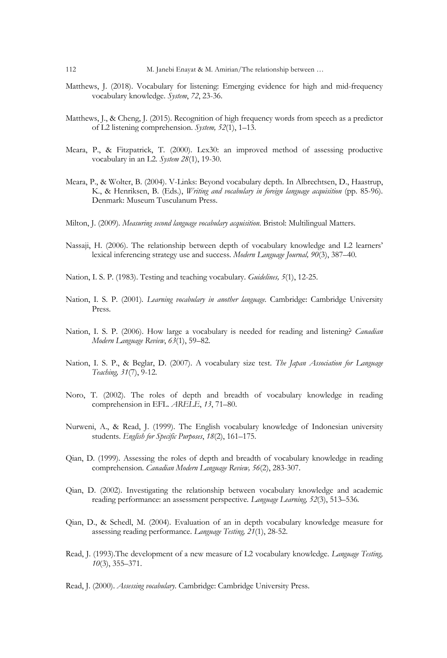- Matthews, J. (2018). Vocabulary for listening: Emerging evidence for high and mid-frequency vocabulary knowledge. *System*, *72*, 23-36.
- Matthews, J., & Cheng, J. (2015). Recognition of high frequency words from speech as a predictor of L2 listening comprehension. *System, 52*(1), 1–13.
- Meara, P., & Fitzpatrick, T. (2000). Lex30: an improved method of assessing productive vocabulary in an L2. *System 28*(1), 19-30.
- Meara, P., & Wolter, B. (2004). V-Links: Beyond vocabulary depth. In Albrechtsen, D., Haastrup, K., & Henriksen, B. (Eds.), *Writing and vocabulary in foreign language acquisition* (pp. 85-96). Denmark: Museum Tusculanum Press.
- Milton, J. (2009)*. Measuring second language vocabulary acquisition*. Bristol: Multilingual Matters.
- Nassaji, H. (2006). The relationship between depth of vocabulary knowledge and L2 learners' lexical inferencing strategy use and success. *Modern Language Journal, 90*(3), 387–40.
- Nation, I. S. P. (1983). Testing and teaching vocabulary. *Guidelines, 5*(1), 12-25.
- Nation, I. S. P. (2001)*. Learning vocabulary in another language.* Cambridge: Cambridge University Press.
- Nation, I. S. P. (2006). How large a vocabulary is needed for reading and listening? *Canadian Modern Language Review*, *63*(1), 59–82.
- Nation, I. S. P., & Beglar, D. (2007). A vocabulary size test. *The Japan Association for Language Teaching, 31*(7), 9-12.
- Noro, T. (2002). The roles of depth and breadth of vocabulary knowledge in reading comprehension in EFL. *ARELE*, *13*, 71–80.
- Nurweni, A., & Read, J. (1999). The English vocabulary knowledge of Indonesian university students. *English for Specific Purposes*, *18*(2), 161–175.
- Qian, D. (1999). Assessing the roles of depth and breadth of vocabulary knowledge in reading comprehension. *Canadian Modern Language Review, 56*(2), 283-307.
- Qian, D. (2002). Investigating the relationship between vocabulary knowledge and academic reading performance: an assessment perspective*. Language Learning, 52*(3), 513–536*.*
- Qian, D., & Schedl, M. (2004). Evaluation of an in depth vocabulary knowledge measure for assessing reading performance. *Language Testing, 21*(1), 28-52.
- Read, J. (1993).The development of a new measure of L2 vocabulary knowledge. *Language Testing, 10*(3), 355–371.
- Read, J. (2000). *Assessing vocabulary*. Cambridge: Cambridge University Press.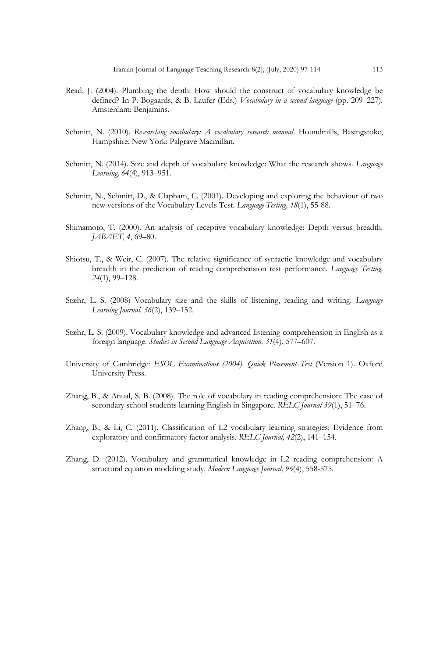- Read, J. (2004). Plumbing the depth: How should the construct of vocabulary knowledge be defined? In P. Bogaards, & B. Laufer (Eds.) *Vocabulary in a second language* (pp. 209–227)*.*  Amsterdam: Benjamins.
- Schmitt, N. (2010)*. Researching vocabulary: A vocabulary research manual*. Houndmills, Basingstoke, Hampshire; New York: Palgrave Macmillan.
- Schmitt, N. (2014). Size and depth of vocabulary knowledge: What the research shows. *Language Learning, 64*(4), 913–951.
- Schmitt, N., Schmitt, D., & Clapham, C. (2001). Developing and exploring the behaviour of two new versions of the Vocabulary Levels Test. *Language Testing, 18*(1), 55-88.
- Shimamoto, T. (2000). An analysis of receptive vocabulary knowledge: Depth versus breadth. *JABAET*, *4*, 69–80.
- Shiotsu, T., & Weir, C. (2007). The relative significance of syntactic knowledge and vocabulary breadth in the prediction of reading comprehension test performance. *Language Testing, 24*(1), 99–128.
- Stæhr, L. S. (2008) Vocabulary size and the skills of listening, reading and writing. *Language Learning Journal, 36*(2), 139–152.
- Stæhr, L. S. (2009). Vocabulary knowledge and advanced listening comprehension in English as a foreign language. *Studies in Second Language Acquisition, 31*(4), 577–607.
- University of Cambridge: *ESOL Examinations (2004). Quick Placement Test* (Version 1). Oxford University Press.
- Zhang, B., & Anual, S. B. (2008). The role of vocabulary in reading comprehension: The case of secondary school students learning English in Singapore. *RELC Journal 39*(1), 51–76.
- Zhang, B., & Li, C. (2011). Classification of L2 vocabulary learning strategies: Evidence from exploratory and confirmatory factor analysis. *RELC Journal, 42*(2), 141–154.
- Zhang, D. (2012). Vocabulary and grammatical knowledge in L2 reading comprehension: A structural equation modeling study. *Modern Language Journal, 96*(4), 558-575.